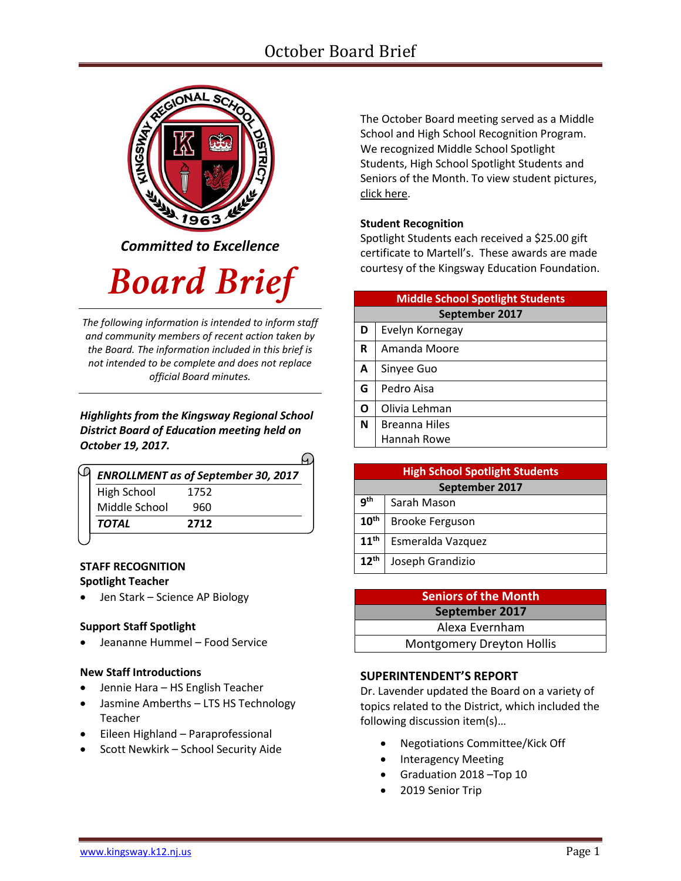# October Board Brief



*Committed to Excellence*

# **Board Brief**

*The following information is intended to inform staff and community members of recent action taken by the Board. The information included in this brief is not intended to be complete and does not replace official Board minutes.*

#### *Highlights from the Kingsway Regional School District Board of Education meeting held on October 19, 2017.*

| <b>ENROLLMENT as of September 30, 2017</b> |      |  |
|--------------------------------------------|------|--|
| <b>High School</b>                         | 1752 |  |
| Middle School                              | 960  |  |
| TOTAL                                      | 2712 |  |

#### **STAFF RECOGNITION Spotlight Teacher**

• Jen Stark – Science AP Biology

#### **Support Staff Spotlight**

Jeananne Hummel – Food Service

#### **New Staff Introductions**

- Jennie Hara HS English Teacher
- Jasmine Amberths LTS HS Technology Teacher
- Eileen Highland Paraprofessional
- **•** Scott Newkirk School Security Aide

The October Board meeting served as a Middle School and High School Recognition Program. We recognized Middle School Spotlight Students, High School Spotlight Students and Seniors of the Month. To view student picture[s,](http://www.krsd.org/Page/1303) [click here.](http://www.krsd.org/Page/1303)

#### **Student Recognition**

Spotlight Students each received a \$25.00 gift certificate to Martell's. These awards are made courtesy of the Kingsway Education Foundation.

| <b>Middle School Spotlight Students</b> |                      |  |  |
|-----------------------------------------|----------------------|--|--|
| September 2017                          |                      |  |  |
| D                                       | Evelyn Kornegay      |  |  |
| R                                       | Amanda Moore         |  |  |
| A                                       | Sinyee Guo           |  |  |
| G                                       | Pedro Aisa           |  |  |
| Ο                                       | Olivia Lehman        |  |  |
| N                                       | <b>Breanna Hiles</b> |  |  |
|                                         | Hannah Rowe          |  |  |

| <b>High School Spotlight Students</b> |                        |  |
|---------------------------------------|------------------------|--|
| September 2017                        |                        |  |
| qth                                   | Sarah Mason            |  |
| $10^{\text{th}}$                      | <b>Brooke Ferguson</b> |  |
| 11 <sup>th</sup>                      | Esmeralda Vazquez      |  |
| $12^{th}$                             | Joseph Grandizio       |  |

| <b>Seniors of the Month</b>      |  |  |
|----------------------------------|--|--|
| September 2017                   |  |  |
| Alexa Evernham                   |  |  |
| <b>Montgomery Dreyton Hollis</b> |  |  |

#### **SUPERINTENDENT'S REPORT**

Dr. Lavender updated the Board on a variety of topics related to the District, which included the following discussion item(s)…

- Negotiations Committee/Kick Off
- Interagency Meeting
- Graduation 2018 –Top 10
- 2019 Senior Trip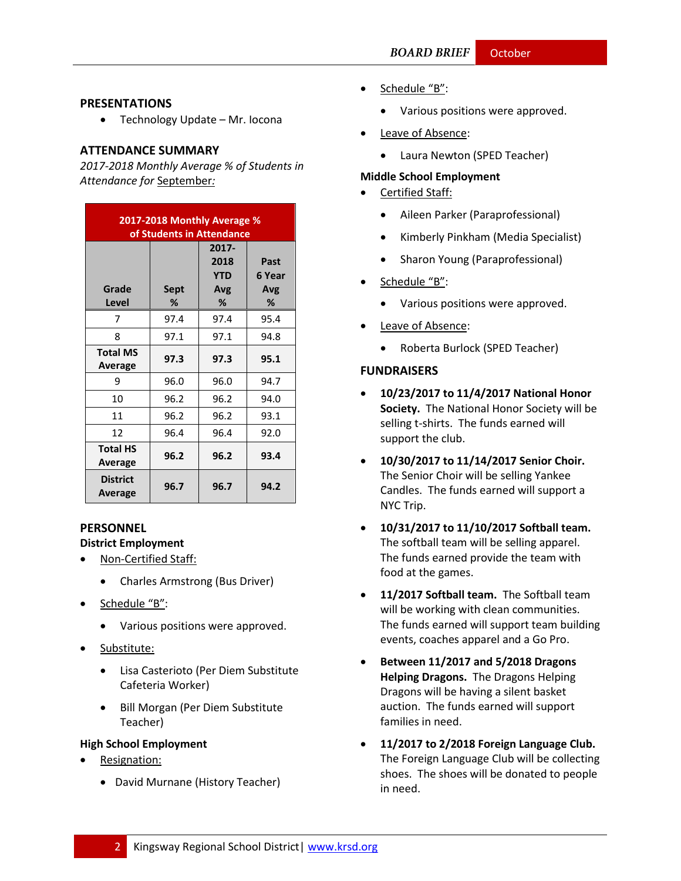#### **PRESENTATIONS**

• Technology Update – Mr. Iocona

#### **ATTENDANCE SUMMARY**

*2017-2018 Monthly Average % of Students in Attendance for* September*:*

| 2017-2018 Monthly Average %<br>of Students in Attendance |           |                                         |                            |
|----------------------------------------------------------|-----------|-----------------------------------------|----------------------------|
| Grade<br>Level                                           | Sept<br>% | 2017-<br>2018<br><b>YTD</b><br>Avg<br>% | Past<br>6 Year<br>Avg<br>% |
| 7                                                        | 97.4      | 97.4                                    | 95.4                       |
| 8                                                        | 97.1      | 97.1                                    | 94.8                       |
| <b>Total MS</b><br>Average                               | 97.3      | 97.3                                    | 95.1                       |
| 9                                                        | 96.0      | 96.0                                    | 94.7                       |
| 10                                                       | 96.2      | 96.2                                    | 94.0                       |
| 11                                                       | 96.2      | 96.2                                    | 93.1                       |
| 12                                                       | 96.4      | 96.4                                    | 92.0                       |
| <b>Total HS</b><br>Average                               | 96.2      | 96.2                                    | 93.4                       |
| <b>District</b><br>Average                               | 96.7      | 96.7                                    | 94.2                       |

#### **PERSONNEL**

#### **District Employment**

- Non-Certified Staff:
	- Charles Armstrong (Bus Driver)
- Schedule "B":
	- Various positions were approved.
- Substitute:
	- Lisa Casterioto (Per Diem Substitute Cafeteria Worker)
	- Bill Morgan (Per Diem Substitute Teacher)

#### **High School Employment**

- Resignation:
	- David Murnane (History Teacher)
- Schedule "B":
	- Various positions were approved.
- Leave of Absence:
	- Laura Newton (SPED Teacher)

#### **Middle School Employment**

- Certified Staff:
	- Aileen Parker (Paraprofessional)
	- Kimberly Pinkham (Media Specialist)
	- Sharon Young (Paraprofessional)
- Schedule "B":
	- Various positions were approved.
- Leave of Absence:
	- Roberta Burlock (SPED Teacher)

#### **FUNDRAISERS**

- **10/23/2017 to 11/4/2017 National Honor Society.** The National Honor Society will be selling t-shirts. The funds earned will support the club.
- **10/30/2017 to 11/14/2017 Senior Choir.** The Senior Choir will be selling Yankee Candles. The funds earned will support a NYC Trip.
- **10/31/2017 to 11/10/2017 Softball team.**  The softball team will be selling apparel. The funds earned provide the team with food at the games.
- **11/2017 Softball team.** The Softball team will be working with clean communities. The funds earned will support team building events, coaches apparel and a Go Pro.
- **Between 11/2017 and 5/2018 Dragons Helping Dragons.** The Dragons Helping Dragons will be having a silent basket auction. The funds earned will support families in need.
- **11/2017 to 2/2018 Foreign Language Club.**  The Foreign Language Club will be collecting shoes. The shoes will be donated to people in need.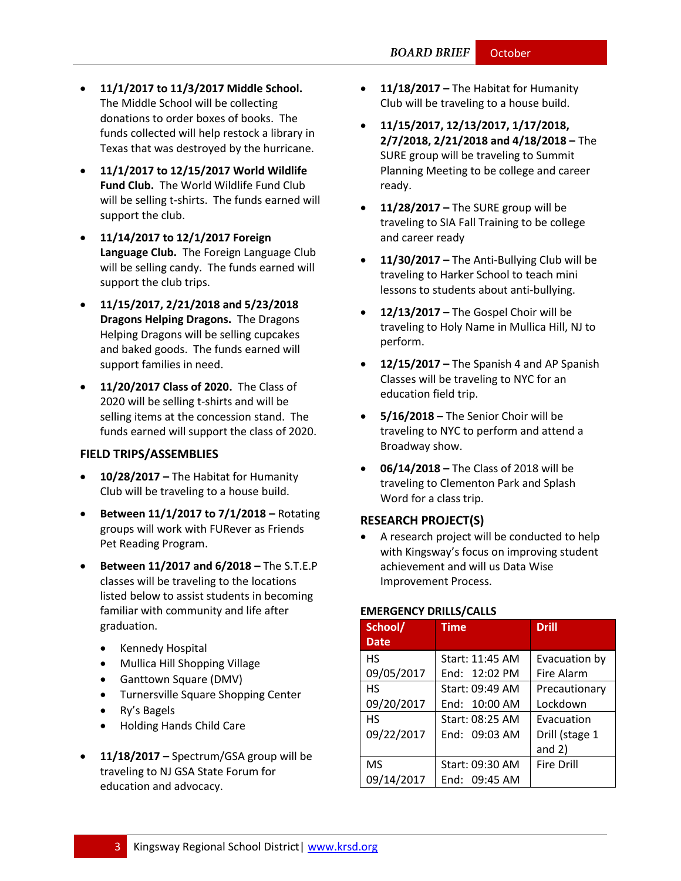- **11/1/2017 to 11/3/2017 Middle School.** The Middle School will be collecting donations to order boxes of books. The funds collected will help restock a library in Texas that was destroyed by the hurricane.
- **11/1/2017 to 12/15/2017 World Wildlife Fund Club.** The World Wildlife Fund Club will be selling t-shirts. The funds earned will support the club.
- **11/14/2017 to 12/1/2017 Foreign Language Club.** The Foreign Language Club will be selling candy. The funds earned will support the club trips.
- **11/15/2017, 2/21/2018 and 5/23/2018 Dragons Helping Dragons.** The Dragons Helping Dragons will be selling cupcakes and baked goods. The funds earned will support families in need.
- **11/20/2017 Class of 2020.** The Class of 2020 will be selling t-shirts and will be selling items at the concession stand. The funds earned will support the class of 2020.

#### **FIELD TRIPS/ASSEMBLIES**

- **10/28/2017 –** The Habitat for Humanity Club will be traveling to a house build.
- **Between 11/1/2017 to 7/1/2018 –** Rotating groups will work with FURever as Friends Pet Reading Program.
- **Between 11/2017 and 6/2018 –** The S.T.E.P classes will be traveling to the locations listed below to assist students in becoming familiar with community and life after graduation.
	- Kennedy Hospital
	- Mullica Hill Shopping Village
	- Ganttown Square (DMV)
	- Turnersville Square Shopping Center
	- Ry's Bagels
	- Holding Hands Child Care
- **11/18/2017 –** Spectrum/GSA group will be traveling to NJ GSA State Forum for education and advocacy.
- **11/18/2017 –** The Habitat for Humanity Club will be traveling to a house build.
- **11/15/2017, 12/13/2017, 1/17/2018, 2/7/2018, 2/21/2018 and 4/18/2018 –** The SURE group will be traveling to Summit Planning Meeting to be college and career ready.
- **11/28/2017 –** The SURE group will be traveling to SIA Fall Training to be college and career ready
- **11/30/2017 –** The Anti-Bullying Club will be traveling to Harker School to teach mini lessons to students about anti-bullying.
- **12/13/2017 –** The Gospel Choir will be traveling to Holy Name in Mullica Hill, NJ to perform.
- **12/15/2017 –** The Spanish 4 and AP Spanish Classes will be traveling to NYC for an education field trip.
- **5/16/2018 –** The Senior Choir will be traveling to NYC to perform and attend a Broadway show.
- **06/14/2018 –** The Class of 2018 will be traveling to Clementon Park and Splash Word for a class trip.

#### **RESEARCH PROJECT(S)**

 A research project will be conducted to help with Kingsway's focus on improving student achievement and will us Data Wise Improvement Process.

#### **EMERGENCY DRILLS/CALLS**

| School/     | <b>Time</b>     | <b>Drill</b>      |
|-------------|-----------------|-------------------|
| <b>Date</b> |                 |                   |
| <b>HS</b>   | Start: 11:45 AM | Evacuation by     |
| 09/05/2017  | End: 12:02 PM   | <b>Fire Alarm</b> |
| <b>HS</b>   | Start: 09:49 AM | Precautionary     |
| 09/20/2017  | End: 10:00 AM   | Lockdown          |
| <b>HS</b>   | Start: 08:25 AM | Evacuation        |
| 09/22/2017  | End: 09:03 AM   | Drill (stage 1    |
|             |                 | and $2)$          |
| <b>MS</b>   | Start: 09:30 AM | <b>Fire Drill</b> |
| 09/14/2017  | End: 09:45 AM   |                   |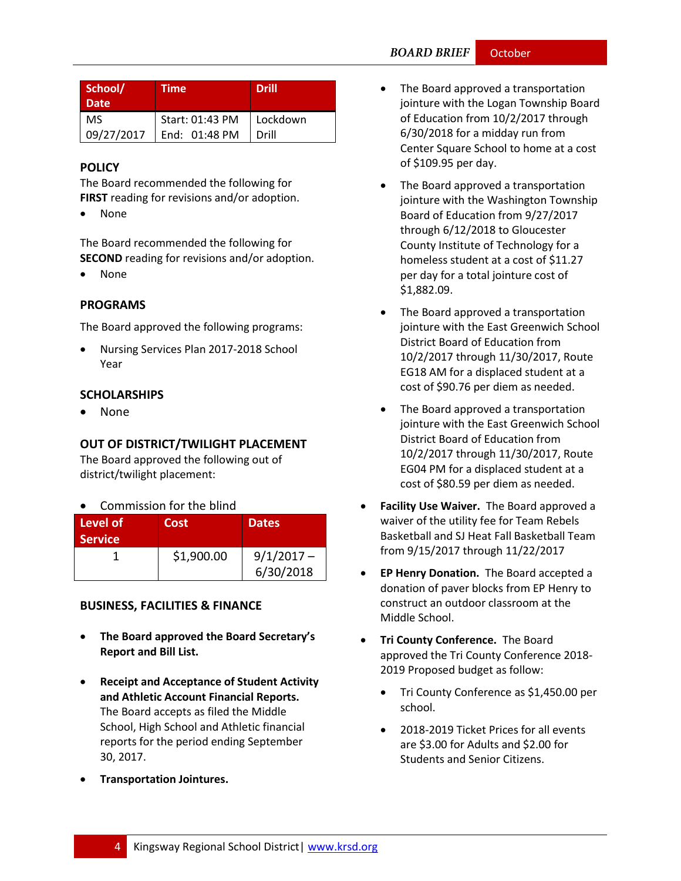| School/<br><b>Date</b> | Time            | <b>Drill</b> |
|------------------------|-----------------|--------------|
| <b>MS</b>              | Start: 01:43 PM | Lockdown     |
| 09/27/2017             | End: 01:48 PM   | Drill        |

### **[POLICY](http://www.straussesmay.com/seportal/Public/DistrictPolicyTOC.aspx?id=f0cc945ef3894b8d9ad5f87d948ca425&PolicyID=)**

The Board recommended the following for **FIRST** reading for revisions and/or adoption.

None

The Board recommended the following for **SECOND** reading for revisions and/or adoption.

• None

#### **PROGRAMS**

The Board approved the following programs:

 Nursing Services Plan 2017-2018 School Year

#### **SCHOLARSHIPS**

• None

# **OUT OF DISTRICT/TWILIGHT PLACEMENT**

The Board approved the following out of district/twilight placement:

Commission for the blind

| Level of<br><b>Service</b> | Cost       | <b>Dates</b> |
|----------------------------|------------|--------------|
|                            | \$1,900.00 | $9/1/2017 -$ |
|                            |            | 6/30/2018    |

# **BUSINESS, FACILITIES & FINANCE**

- **The Board approved the Board Secretary's Report and Bill List.**
- **Receipt and Acceptance of Student Activity and Athletic Account Financial Reports.** The Board accepts as filed the Middle School, High School and Athletic financial reports for the period ending September 30, 2017.
- **Transportation Jointures.**
- The Board approved a transportation jointure with the Logan Township Board of Education from 10/2/2017 through 6/30/2018 for a midday run from Center Square School to home at a cost of \$109.95 per day.
- The Board approved a transportation jointure with the Washington Township Board of Education from 9/27/2017 through 6/12/2018 to Gloucester County Institute of Technology for a homeless student at a cost of \$11.27 per day for a total jointure cost of \$1,882.09.
- The Board approved a transportation jointure with the East Greenwich School District Board of Education from 10/2/2017 through 11/30/2017, Route EG18 AM for a displaced student at a cost of \$90.76 per diem as needed.
- The Board approved a transportation jointure with the East Greenwich School District Board of Education from 10/2/2017 through 11/30/2017, Route EG04 PM for a displaced student at a cost of \$80.59 per diem as needed.
- **Facility Use Waiver.** The Board approved a waiver of the utility fee for Team Rebels Basketball and SJ Heat Fall Basketball Team from 9/15/2017 through 11/22/2017
- **EP Henry Donation.** The Board accepted a donation of paver blocks from EP Henry to construct an outdoor classroom at the Middle School.
- **Tri County Conference.** The Board approved the Tri County Conference 2018- 2019 Proposed budget as follow:
	- Tri County Conference as \$1,450.00 per school.
	- 2018-2019 Ticket Prices for all events are \$3.00 for Adults and \$2.00 for Students and Senior Citizens.